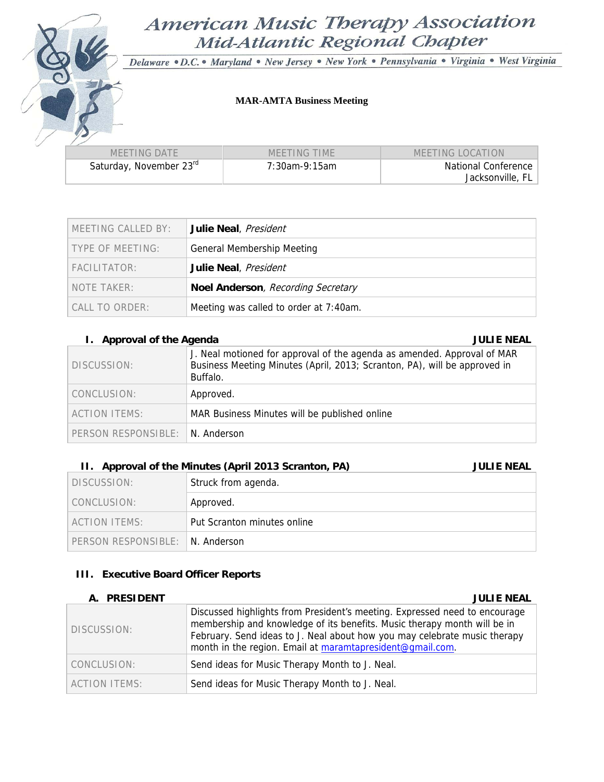# American Music Therapy Association Mid-Atlantic Regional Chapter

Delaware · D.C. · Maryland · New Jersey · New York · Pennsylvania · Virginia · West Virginia

### **MAR-AMTA Business Meeting**

| MEETING DATE                        | MEETING TIME  | MEETING LOCATION    |  |
|-------------------------------------|---------------|---------------------|--|
| Saturday, November 23 <sup>rd</sup> | 7:30am-9:15am | National Conference |  |
|                                     |               | Jacksonville, FL    |  |

| MEETING CALLED BY: | Julie Neal, President                  |
|--------------------|----------------------------------------|
| TYPE OF MEETING:   | <b>General Membership Meeting</b>      |
| FACILITATOR:       | Julie Neal, President                  |
| NOTE TAKER:        | Noel Anderson, Recording Secretary     |
| CALL TO ORDER:     | Meeting was called to order at 7:40am. |

### **I. Approval of the Agenda** JULIE NEAL **JULIE NEAL 2008**

| DISCUSSION:                      | J. Neal motioned for approval of the agenda as amended. Approval of MAR<br>Business Meeting Minutes (April, 2013; Scranton, PA), will be approved in<br>Buffalo. |
|----------------------------------|------------------------------------------------------------------------------------------------------------------------------------------------------------------|
| CONCLUSION:                      | Approved.                                                                                                                                                        |
| ACTION ITEMS:                    | MAR Business Minutes will be published online                                                                                                                    |
| PERSON RESPONSIBLE: IN. Anderson |                                                                                                                                                                  |

### **II.** Approval of the Minutes (April 2013 Scranton, PA) **JULIE NEAL**

| DISCUSSION:                      | Struck from agenda.         |
|----------------------------------|-----------------------------|
| CONCLUSION:                      | Approved.                   |
| ACTION ITEMS:                    | Put Scranton minutes online |
| PERSON RESPONSIBLE: IN. Anderson |                             |

### **III. Executive Board Officer Reports**

### **A. PRESIDENT JULIE NEAL**

| <b>A. INLYIDLI</b>   | JULIL IVLAL                                                                                                                                                                                                                                                                                      |
|----------------------|--------------------------------------------------------------------------------------------------------------------------------------------------------------------------------------------------------------------------------------------------------------------------------------------------|
| DISCUSSION:          | Discussed highlights from President's meeting. Expressed need to encourage<br>membership and knowledge of its benefits. Music therapy month will be in<br>February. Send ideas to J. Neal about how you may celebrate music therapy<br>month in the region. Email at maramtapresident@qmail.com. |
| CONCLUSION:          | Send ideas for Music Therapy Month to J. Neal.                                                                                                                                                                                                                                                   |
| <b>ACTION ITEMS:</b> | Send ideas for Music Therapy Month to J. Neal.                                                                                                                                                                                                                                                   |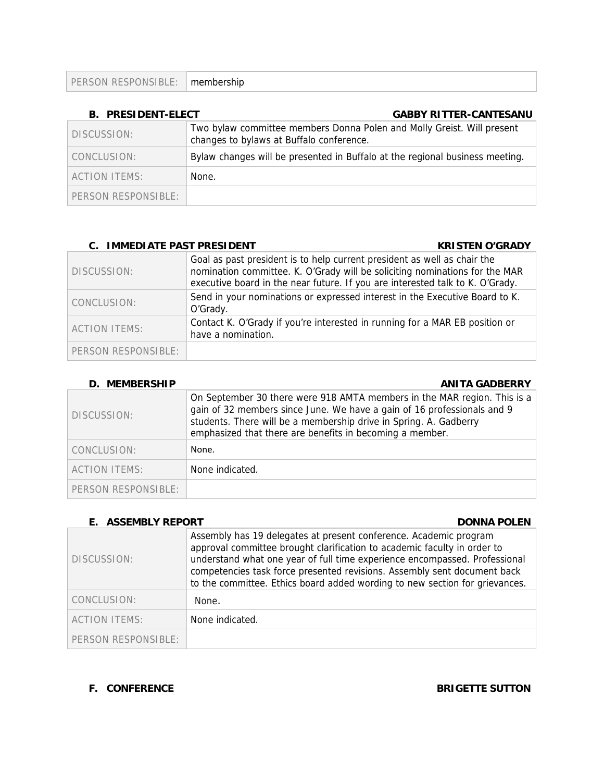| PERSON RESPONSIBLE: | membership |
|---------------------|------------|
|---------------------|------------|

| <b>B. PRESIDENT-ELECT</b> | <b>GABBY RITTER-CANTESANU</b>                                                                                      |
|---------------------------|--------------------------------------------------------------------------------------------------------------------|
| DISCUSSION:               | Two bylaw committee members Donna Polen and Molly Greist. Will present<br>changes to bylaws at Buffalo conference. |
| CONCLUSION:               | Bylaw changes will be presented in Buffalo at the regional business meeting.                                       |
| <b>ACTION ITEMS:</b>      | None.                                                                                                              |
| PERSON RESPONSIBLE:       |                                                                                                                    |

| <b>C. IMMEDIATE PAST PRESIDENT</b> | <b>KRISTEN O'GRADY</b>                                                                                                                                                                                                                   |
|------------------------------------|------------------------------------------------------------------------------------------------------------------------------------------------------------------------------------------------------------------------------------------|
| DISCUSSION:                        | Goal as past president is to help current president as well as chair the<br>nomination committee. K. O'Grady will be soliciting nominations for the MAR<br>executive board in the near future. If you are interested talk to K. O'Grady. |
| CONCLUSION:                        | Send in your nominations or expressed interest in the Executive Board to K.<br>O'Grady.                                                                                                                                                  |
| <b>ACTION ITEMS:</b>               | Contact K. O'Grady if you're interested in running for a MAR EB position or<br>have a nomination.                                                                                                                                        |
| PERSON RESPONSIBLE:                |                                                                                                                                                                                                                                          |

### **D.** MEMBERSHIP **ANITA GADBERRY**

| DISCUSSION:          | On September 30 there were 918 AMTA members in the MAR region. This is a<br>gain of 32 members since June. We have a gain of 16 professionals and 9<br>students. There will be a membership drive in Spring. A. Gadberry<br>emphasized that there are benefits in becoming a member. |
|----------------------|--------------------------------------------------------------------------------------------------------------------------------------------------------------------------------------------------------------------------------------------------------------------------------------|
| CONCLUSION:          | None.                                                                                                                                                                                                                                                                                |
| <b>ACTION ITEMS:</b> | None indicated.                                                                                                                                                                                                                                                                      |
| PERSON RESPONSIBLE:  |                                                                                                                                                                                                                                                                                      |

| <b>ASSEMBLY REPORT</b> | <b>DONNA POLEN</b>                                                                                                                                                                                                                                                                                                                                                                     |
|------------------------|----------------------------------------------------------------------------------------------------------------------------------------------------------------------------------------------------------------------------------------------------------------------------------------------------------------------------------------------------------------------------------------|
| DISCUSSION:            | Assembly has 19 delegates at present conference. Academic program<br>approval committee brought clarification to academic faculty in order to<br>understand what one year of full time experience encompassed. Professional<br>competencies task force presented revisions. Assembly sent document back<br>to the committee. Ethics board added wording to new section for grievances. |
| CONCLUSION:            | None.                                                                                                                                                                                                                                                                                                                                                                                  |
| <b>ACTION ITEMS:</b>   | None indicated.                                                                                                                                                                                                                                                                                                                                                                        |
| PERSON RESPONSIBLE:    |                                                                                                                                                                                                                                                                                                                                                                                        |

**F.** CONFERENCE BRIGETTE SUTTON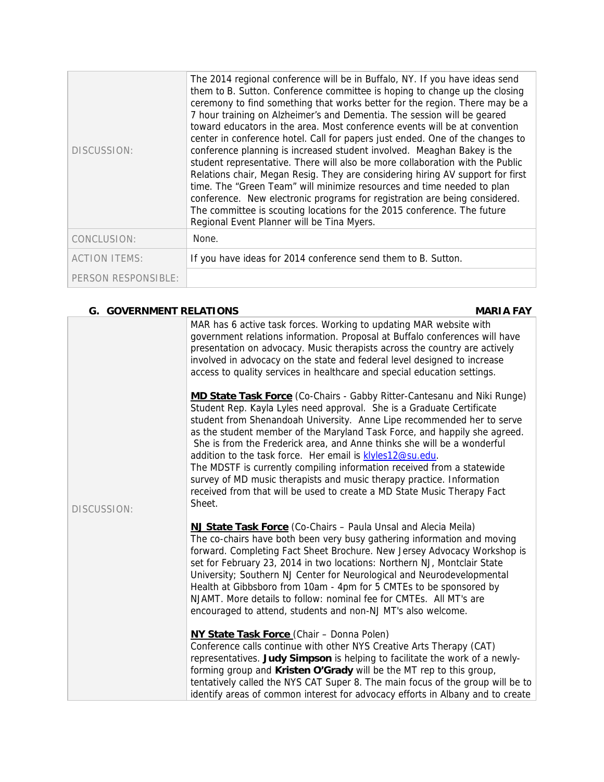| DISCUSSION:          | The 2014 regional conference will be in Buffalo, NY. If you have ideas send<br>them to B. Sutton. Conference committee is hoping to change up the closing<br>ceremony to find something that works better for the region. There may be a<br>7 hour training on Alzheimer's and Dementia. The session will be geared<br>toward educators in the area. Most conference events will be at convention<br>center in conference hotel. Call for papers just ended. One of the changes to<br>conference planning is increased student involved. Meaghan Bakey is the<br>student representative. There will also be more collaboration with the Public<br>Relations chair, Megan Resig. They are considering hiring AV support for first<br>time. The "Green Team" will minimize resources and time needed to plan<br>conference. New electronic programs for registration are being considered.<br>The committee is scouting locations for the 2015 conference. The future<br>Regional Event Planner will be Tina Myers. |  |
|----------------------|-------------------------------------------------------------------------------------------------------------------------------------------------------------------------------------------------------------------------------------------------------------------------------------------------------------------------------------------------------------------------------------------------------------------------------------------------------------------------------------------------------------------------------------------------------------------------------------------------------------------------------------------------------------------------------------------------------------------------------------------------------------------------------------------------------------------------------------------------------------------------------------------------------------------------------------------------------------------------------------------------------------------|--|
| CONCLUSION:          | None.                                                                                                                                                                                                                                                                                                                                                                                                                                                                                                                                                                                                                                                                                                                                                                                                                                                                                                                                                                                                             |  |
| <b>ACTION ITEMS:</b> | If you have ideas for 2014 conference send them to B. Sutton.                                                                                                                                                                                                                                                                                                                                                                                                                                                                                                                                                                                                                                                                                                                                                                                                                                                                                                                                                     |  |
| PERSON RESPONSIBLE:  |                                                                                                                                                                                                                                                                                                                                                                                                                                                                                                                                                                                                                                                                                                                                                                                                                                                                                                                                                                                                                   |  |

| <b>G. GOVERNMENT RELATIONS</b> |                                                                                                                                                                                                                                                                                                                                                                                                                                                                                                                                                                                                                                                                                         | <b>MARIA FAY</b> |
|--------------------------------|-----------------------------------------------------------------------------------------------------------------------------------------------------------------------------------------------------------------------------------------------------------------------------------------------------------------------------------------------------------------------------------------------------------------------------------------------------------------------------------------------------------------------------------------------------------------------------------------------------------------------------------------------------------------------------------------|------------------|
|                                | MAR has 6 active task forces. Working to updating MAR website with<br>government relations information. Proposal at Buffalo conferences will have<br>presentation on advocacy. Music therapists across the country are actively<br>involved in advocacy on the state and federal level designed to increase<br>access to quality services in healthcare and special education settings.                                                                                                                                                                                                                                                                                                 |                  |
| DISCUSSION:                    | MD State Task Force (Co-Chairs - Gabby Ritter-Cantesanu and Niki Runge)<br>Student Rep. Kayla Lyles need approval. She is a Graduate Certificate<br>student from Shenandoah University. Anne Lipe recommended her to serve<br>as the student member of the Maryland Task Force, and happily she agreed.<br>She is from the Frederick area, and Anne thinks she will be a wonderful<br>addition to the task force. Her email is klyles12@su.edu.<br>The MDSTF is currently compiling information received from a statewide<br>survey of MD music therapists and music therapy practice. Information<br>received from that will be used to create a MD State Music Therapy Fact<br>Sheet. |                  |
|                                | <b>NJ State Task Force</b> (Co-Chairs – Paula Unsal and Alecia Meila)<br>The co-chairs have both been very busy gathering information and moving<br>forward. Completing Fact Sheet Brochure. New Jersey Advocacy Workshop is<br>set for February 23, 2014 in two locations: Northern NJ, Montclair State<br>University; Southern NJ Center for Neurological and Neurodevelopmental<br>Health at Gibbsboro from 10am - 4pm for 5 CMTEs to be sponsored by<br>NJAMT. More details to follow: nominal fee for CMTEs. All MT's are<br>encouraged to attend, students and non-NJ MT's also welcome.                                                                                          |                  |
|                                | <b>NY State Task Force (Chair - Donna Polen)</b><br>Conference calls continue with other NYS Creative Arts Therapy (CAT)<br>representatives. Judy Simpson is helping to facilitate the work of a newly-<br>forming group and Kristen O'Grady will be the MT rep to this group,<br>tentatively called the NYS CAT Super 8. The main focus of the group will be to<br>identify areas of common interest for advocacy efforts in Albany and to create                                                                                                                                                                                                                                      |                  |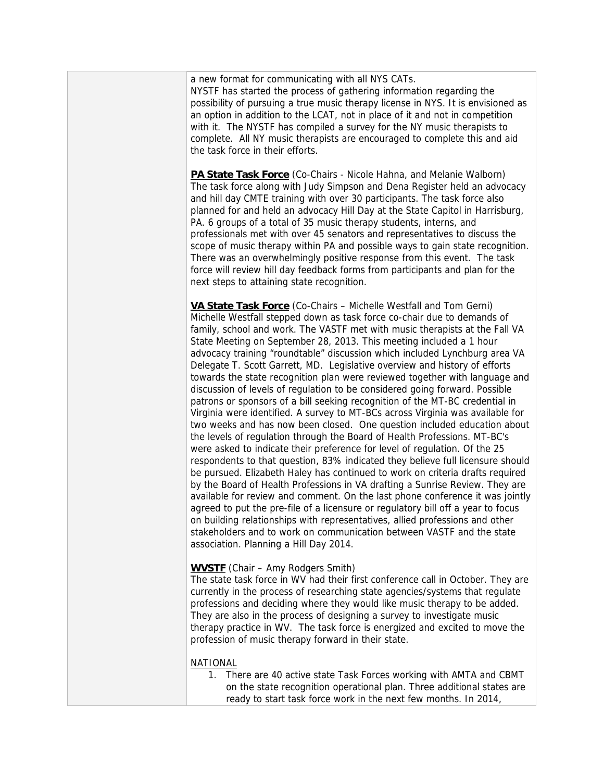a new format for communicating with all NYS CATs. NYSTF has started the process of gathering information regarding the possibility of pursuing a true music therapy license in NYS. It is envisioned as an option in addition to the LCAT, not in place of it and not in competition with it. The NYSTF has compiled a survey for the NY music therapists to complete. All NY music therapists are encouraged to complete this and aid the task force in their efforts.

**PA State Task Force** (Co-Chairs - Nicole Hahna, and Melanie Walborn) The task force along with Judy Simpson and Dena Register held an advocacy and hill day CMTE training with over 30 participants. The task force also planned for and held an advocacy Hill Day at the State Capitol in Harrisburg, PA. 6 groups of a total of 35 music therapy students, interns, and professionals met with over 45 senators and representatives to discuss the scope of music therapy within PA and possible ways to gain state recognition. There was an overwhelmingly positive response from this event. The task force will review hill day feedback forms from participants and plan for the next steps to attaining state recognition.

**VA State Task Force** (Co-Chairs – Michelle Westfall and Tom Gerni) Michelle Westfall stepped down as task force co-chair due to demands of family, school and work. The VASTF met with music therapists at the Fall VA State Meeting on September 28, 2013. This meeting included a 1 hour advocacy training "roundtable" discussion which included Lynchburg area VA Delegate T. Scott Garrett, MD. Legislative overview and history of efforts towards the state recognition plan were reviewed together with language and discussion of levels of regulation to be considered going forward. Possible patrons or sponsors of a bill seeking recognition of the MT-BC credential in Virginia were identified. A survey to MT-BCs across Virginia was available for two weeks and has now been closed. One question included education about the levels of regulation through the Board of Health Professions. MT-BC's were asked to indicate their preference for level of regulation. Of the 25 respondents to that question, 83% indicated they believe full licensure should be pursued. Elizabeth Haley has continued to work on criteria drafts required by the Board of Health Professions in VA drafting a Sunrise Review. They are available for review and comment. On the last phone conference it was jointly agreed to put the pre-file of a licensure or regulatory bill off a year to focus on building relationships with representatives, allied professions and other stakeholders and to work on communication between VASTF and the state association. Planning a Hill Day 2014.

### **WVSTF** (Chair – Amy Rodgers Smith)

The state task force in WV had their first conference call in October. They are currently in the process of researching state agencies/systems that regulate professions and deciding where they would like music therapy to be added. They are also in the process of designing a survey to investigate music therapy practice in WV. The task force is energized and excited to move the profession of music therapy forward in their state.

### NATIONAL

1. There are 40 active state Task Forces working with AMTA and CBMT on the state recognition operational plan. Three additional states are ready to start task force work in the next few months. In 2014,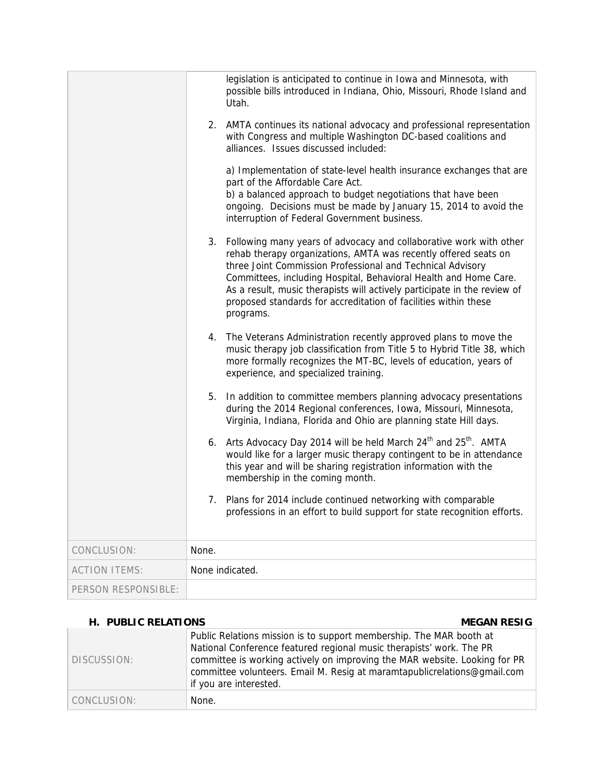|                      |       | legislation is anticipated to continue in Iowa and Minnesota, with<br>possible bills introduced in Indiana, Ohio, Missouri, Rhode Island and<br>Utah.                                                                                                                                                                                                                                                                                  |
|----------------------|-------|----------------------------------------------------------------------------------------------------------------------------------------------------------------------------------------------------------------------------------------------------------------------------------------------------------------------------------------------------------------------------------------------------------------------------------------|
|                      |       | 2. AMTA continues its national advocacy and professional representation<br>with Congress and multiple Washington DC-based coalitions and<br>alliances. Issues discussed included:                                                                                                                                                                                                                                                      |
|                      |       | a) Implementation of state-level health insurance exchanges that are<br>part of the Affordable Care Act.<br>b) a balanced approach to budget negotiations that have been<br>ongoing. Decisions must be made by January 15, 2014 to avoid the<br>interruption of Federal Government business.                                                                                                                                           |
|                      |       | 3. Following many years of advocacy and collaborative work with other<br>rehab therapy organizations, AMTA was recently offered seats on<br>three Joint Commission Professional and Technical Advisory<br>Committees, including Hospital, Behavioral Health and Home Care.<br>As a result, music therapists will actively participate in the review of<br>proposed standards for accreditation of facilities within these<br>programs. |
|                      |       | 4. The Veterans Administration recently approved plans to move the<br>music therapy job classification from Title 5 to Hybrid Title 38, which<br>more formally recognizes the MT-BC, levels of education, years of<br>experience, and specialized training.                                                                                                                                                                            |
|                      | 5.    | In addition to committee members planning advocacy presentations<br>during the 2014 Regional conferences, Iowa, Missouri, Minnesota,<br>Virginia, Indiana, Florida and Ohio are planning state Hill days.                                                                                                                                                                                                                              |
|                      | 6.    | Arts Advocacy Day 2014 will be held March 24 <sup>th</sup> and 25 <sup>th</sup> . AMTA<br>would like for a larger music therapy contingent to be in attendance<br>this year and will be sharing registration information with the<br>membership in the coming month.                                                                                                                                                                   |
|                      |       | 7. Plans for 2014 include continued networking with comparable<br>professions in an effort to build support for state recognition efforts.                                                                                                                                                                                                                                                                                             |
| CONCLUSION:          | None. |                                                                                                                                                                                                                                                                                                                                                                                                                                        |
| <b>ACTION ITEMS:</b> |       | None indicated.                                                                                                                                                                                                                                                                                                                                                                                                                        |
| PERSON RESPONSIBLE:  |       |                                                                                                                                                                                                                                                                                                                                                                                                                                        |

## **H. PUBLIC RELATIONS MEGAN RESIG**

| DISCUSSION: | Public Relations mission is to support membership. The MAR booth at<br>National Conference featured regional music therapists' work. The PR<br>committee is working actively on improving the MAR website. Looking for PR<br>committee volunteers. Email M. Resig at maramtapublicrelations@gmail.com<br>if you are interested. |
|-------------|---------------------------------------------------------------------------------------------------------------------------------------------------------------------------------------------------------------------------------------------------------------------------------------------------------------------------------|
| CONCLUSION: | None.                                                                                                                                                                                                                                                                                                                           |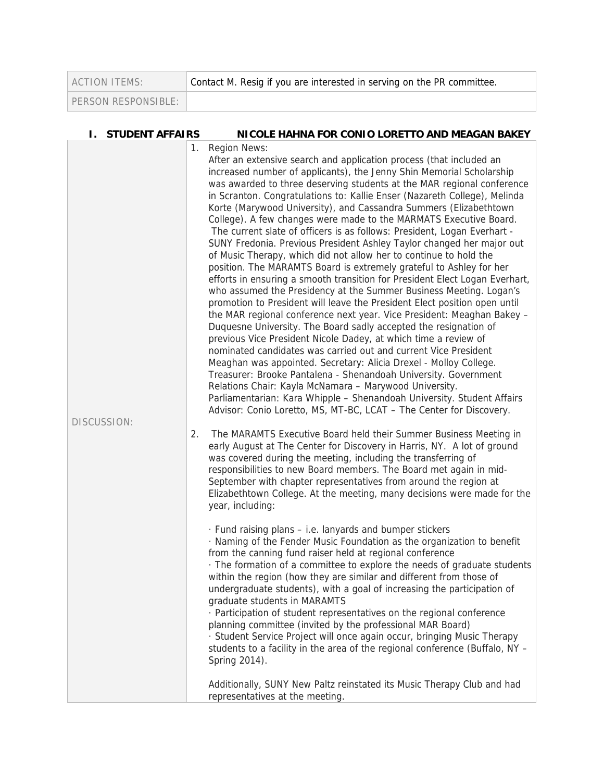| <b>ACTION ITEMS:</b>  | Contact M. Resig if you are interested in serving on the PR committee. |
|-----------------------|------------------------------------------------------------------------|
| PERSON RESPONSIBLE: I |                                                                        |

**I. STUDENT AFFAIRS NICOLE HAHNA FOR CONIO LORETTO AND MEAGAN BAKEY** 

÷

| DISCUSSION: |    |                                                                                                                                                                                                                                                                                                                                                                                                                                                        | 1. Region News:<br>After an extensive search and application process (that included an<br>increased number of applicants), the Jenny Shin Memorial Scholarship<br>was awarded to three deserving students at the MAR regional conference<br>in Scranton. Congratulations to: Kallie Enser (Nazareth College), Melinda<br>Korte (Marywood University), and Cassandra Summers (Elizabethtown<br>College). A few changes were made to the MARMATS Executive Board.<br>The current slate of officers is as follows: President, Logan Everhart -<br>SUNY Fredonia. Previous President Ashley Taylor changed her major out<br>of Music Therapy, which did not allow her to continue to hold the<br>position. The MARAMTS Board is extremely grateful to Ashley for her<br>efforts in ensuring a smooth transition for President Elect Logan Everhart,<br>who assumed the Presidency at the Summer Business Meeting. Logan's<br>promotion to President will leave the President Elect position open until<br>the MAR regional conference next year. Vice President: Meaghan Bakey -<br>Duquesne University. The Board sadly accepted the resignation of<br>previous Vice President Nicole Dadey, at which time a review of<br>nominated candidates was carried out and current Vice President<br>Meaghan was appointed. Secretary: Alicia Drexel - Molloy College.<br>Treasurer: Brooke Pantalena - Shenandoah University. Government<br>Relations Chair: Kayla McNamara - Marywood University.<br>Parliamentarian: Kara Whipple - Shenandoah University. Student Affairs<br>Advisor: Conio Loretto, MS, MT-BC, LCAT - The Center for Discovery. |
|-------------|----|--------------------------------------------------------------------------------------------------------------------------------------------------------------------------------------------------------------------------------------------------------------------------------------------------------------------------------------------------------------------------------------------------------------------------------------------------------|-------------------------------------------------------------------------------------------------------------------------------------------------------------------------------------------------------------------------------------------------------------------------------------------------------------------------------------------------------------------------------------------------------------------------------------------------------------------------------------------------------------------------------------------------------------------------------------------------------------------------------------------------------------------------------------------------------------------------------------------------------------------------------------------------------------------------------------------------------------------------------------------------------------------------------------------------------------------------------------------------------------------------------------------------------------------------------------------------------------------------------------------------------------------------------------------------------------------------------------------------------------------------------------------------------------------------------------------------------------------------------------------------------------------------------------------------------------------------------------------------------------------------------------------------------------------------------------------------------------------------------------------|
|             | 2. | The MARAMTS Executive Board held their Summer Business Meeting in<br>early August at The Center for Discovery in Harris, NY. A lot of ground<br>was covered during the meeting, including the transferring of<br>responsibilities to new Board members. The Board met again in mid-<br>September with chapter representatives from around the region at<br>Elizabethtown College. At the meeting, many decisions were made for the<br>year, including: |                                                                                                                                                                                                                                                                                                                                                                                                                                                                                                                                                                                                                                                                                                                                                                                                                                                                                                                                                                                                                                                                                                                                                                                                                                                                                                                                                                                                                                                                                                                                                                                                                                           |
|             |    |                                                                                                                                                                                                                                                                                                                                                                                                                                                        | · Fund raising plans – i.e. lanyards and bumper stickers<br>· Naming of the Fender Music Foundation as the organization to benefit<br>from the canning fund raiser held at regional conference<br>. The formation of a committee to explore the needs of graduate students<br>within the region (how they are similar and different from those of<br>undergraduate students), with a goal of increasing the participation of<br>graduate students in MARAMTS<br>· Participation of student representatives on the regional conference<br>planning committee (invited by the professional MAR Board)<br>· Student Service Project will once again occur, bringing Music Therapy<br>students to a facility in the area of the regional conference (Buffalo, NY -<br>Spring 2014).                                                                                                                                                                                                                                                                                                                                                                                                                                                                                                                                                                                                                                                                                                                                                                                                                                                           |
|             |    |                                                                                                                                                                                                                                                                                                                                                                                                                                                        | Additionally, SUNY New Paltz reinstated its Music Therapy Club and had<br>representatives at the meeting.                                                                                                                                                                                                                                                                                                                                                                                                                                                                                                                                                                                                                                                                                                                                                                                                                                                                                                                                                                                                                                                                                                                                                                                                                                                                                                                                                                                                                                                                                                                                 |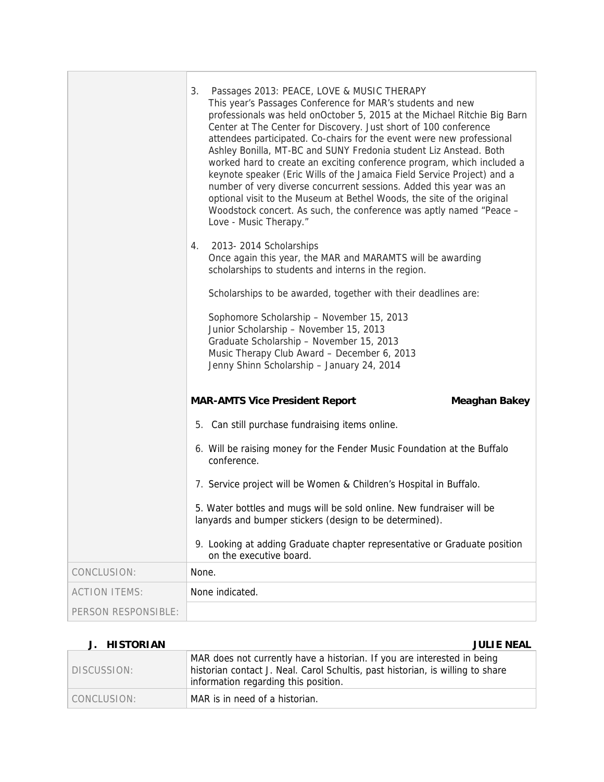|                      | Passages 2013: PEACE, LOVE & MUSIC THERAPY<br>3.<br>This year's Passages Conference for MAR's students and new<br>professionals was held onOctober 5, 2015 at the Michael Ritchie Big Barn<br>Center at The Center for Discovery. Just short of 100 conference<br>attendees participated. Co-chairs for the event were new professional<br>Ashley Bonilla, MT-BC and SUNY Fredonia student Liz Anstead. Both<br>worked hard to create an exciting conference program, which included a<br>keynote speaker (Eric Wills of the Jamaica Field Service Project) and a<br>number of very diverse concurrent sessions. Added this year was an<br>optional visit to the Museum at Bethel Woods, the site of the original<br>Woodstock concert. As such, the conference was aptly named "Peace -<br>Love - Music Therapy."<br>2013-2014 Scholarships<br>4.<br>Once again this year, the MAR and MARAMTS will be awarding<br>scholarships to students and interns in the region.<br>Scholarships to be awarded, together with their deadlines are:<br>Sophomore Scholarship - November 15, 2013<br>Junior Scholarship - November 15, 2013<br>Graduate Scholarship - November 15, 2013<br>Music Therapy Club Award - December 6, 2013<br>Jenny Shinn Scholarship - January 24, 2014 |
|----------------------|---------------------------------------------------------------------------------------------------------------------------------------------------------------------------------------------------------------------------------------------------------------------------------------------------------------------------------------------------------------------------------------------------------------------------------------------------------------------------------------------------------------------------------------------------------------------------------------------------------------------------------------------------------------------------------------------------------------------------------------------------------------------------------------------------------------------------------------------------------------------------------------------------------------------------------------------------------------------------------------------------------------------------------------------------------------------------------------------------------------------------------------------------------------------------------------------------------------------------------------------------------------------------|
|                      | <b>MAR-AMTS Vice President Report</b><br><b>Meaghan Bakey</b>                                                                                                                                                                                                                                                                                                                                                                                                                                                                                                                                                                                                                                                                                                                                                                                                                                                                                                                                                                                                                                                                                                                                                                                                             |
|                      | 5. Can still purchase fundraising items online.                                                                                                                                                                                                                                                                                                                                                                                                                                                                                                                                                                                                                                                                                                                                                                                                                                                                                                                                                                                                                                                                                                                                                                                                                           |
|                      | 6. Will be raising money for the Fender Music Foundation at the Buffalo<br>conference.                                                                                                                                                                                                                                                                                                                                                                                                                                                                                                                                                                                                                                                                                                                                                                                                                                                                                                                                                                                                                                                                                                                                                                                    |
|                      | 7. Service project will be Women & Children's Hospital in Buffalo.                                                                                                                                                                                                                                                                                                                                                                                                                                                                                                                                                                                                                                                                                                                                                                                                                                                                                                                                                                                                                                                                                                                                                                                                        |
|                      | 5. Water bottles and mugs will be sold online. New fundraiser will be<br>lanyards and bumper stickers (design to be determined).                                                                                                                                                                                                                                                                                                                                                                                                                                                                                                                                                                                                                                                                                                                                                                                                                                                                                                                                                                                                                                                                                                                                          |
|                      | 9. Looking at adding Graduate chapter representative or Graduate position<br>on the executive board.                                                                                                                                                                                                                                                                                                                                                                                                                                                                                                                                                                                                                                                                                                                                                                                                                                                                                                                                                                                                                                                                                                                                                                      |
| CONCLUSION:          | None.                                                                                                                                                                                                                                                                                                                                                                                                                                                                                                                                                                                                                                                                                                                                                                                                                                                                                                                                                                                                                                                                                                                                                                                                                                                                     |
| <b>ACTION ITEMS:</b> | None indicated.                                                                                                                                                                                                                                                                                                                                                                                                                                                                                                                                                                                                                                                                                                                                                                                                                                                                                                                                                                                                                                                                                                                                                                                                                                                           |
| PERSON RESPONSIBLE:  |                                                                                                                                                                                                                                                                                                                                                                                                                                                                                                                                                                                                                                                                                                                                                                                                                                                                                                                                                                                                                                                                                                                                                                                                                                                                           |

## **J. HISTORIAN JULIE NEAL**

| DISCUSSION: | MAR does not currently have a historian. If you are interested in being<br>historian contact J. Neal. Carol Schultis, past historian, is willing to share<br>information regarding this position. |
|-------------|---------------------------------------------------------------------------------------------------------------------------------------------------------------------------------------------------|
| CONCLUSION: | MAR is in need of a historian.                                                                                                                                                                    |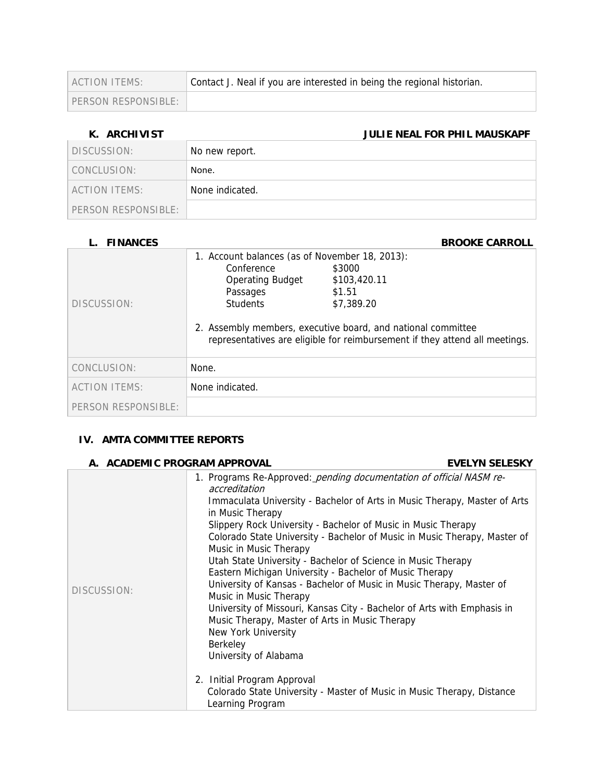| ACTION ITEMS:         | Contact J. Neal if you are interested in being the regional historian. |
|-----------------------|------------------------------------------------------------------------|
| PERSON RESPONSIBLE: I |                                                                        |

### **K. ARCHIVIST JULIE NEAL FOR PHIL MAUSKAPF**

| DISCUSSION:                        | No new report.  |
|------------------------------------|-----------------|
| CONCLUSION:                        | None.           |
| ACTION ITEMS:                      | None indicated. |
| $\overline{P}$ PFRSON RESPONSIBLE: |                 |

### **L. FINANCES** BROOKE CARROLL

| DISCUSSION:          | 1. Account balances (as of November 18, 2013):<br>Conference<br><b>Operating Budget</b><br>Passages<br><b>Students</b> | \$3000<br>\$103,420.11<br>\$1.51<br>\$7,389.20<br>2. Assembly members, executive board, and national committee<br>representatives are eligible for reimbursement if they attend all meetings. |
|----------------------|------------------------------------------------------------------------------------------------------------------------|-----------------------------------------------------------------------------------------------------------------------------------------------------------------------------------------------|
| CONCLUSION:          | None.                                                                                                                  |                                                                                                                                                                                               |
| <b>ACTION ITEMS:</b> | None indicated.                                                                                                        |                                                                                                                                                                                               |
| PERSON RESPONSIBLE:  |                                                                                                                        |                                                                                                                                                                                               |

## **IV. AMTA COMMITTEE REPORTS**

### **A. ACADEMIC PROGRAM APPROVAL EVELYN SELESKY**

| DISCUSSION: | 1. Programs Re-Approved: <i>pending documentation of official NASM re-</i><br>accreditation<br>Immaculata University - Bachelor of Arts in Music Therapy, Master of Arts<br>in Music Therapy<br>Slippery Rock University - Bachelor of Music in Music Therapy<br>Colorado State University - Bachelor of Music in Music Therapy, Master of<br>Music in Music Therapy<br>Utah State University - Bachelor of Science in Music Therapy<br>Eastern Michigan University - Bachelor of Music Therapy<br>University of Kansas - Bachelor of Music in Music Therapy, Master of<br>Music in Music Therapy<br>University of Missouri, Kansas City - Bachelor of Arts with Emphasis in<br>Music Therapy, Master of Arts in Music Therapy |
|-------------|--------------------------------------------------------------------------------------------------------------------------------------------------------------------------------------------------------------------------------------------------------------------------------------------------------------------------------------------------------------------------------------------------------------------------------------------------------------------------------------------------------------------------------------------------------------------------------------------------------------------------------------------------------------------------------------------------------------------------------|
|             | New York University<br>Berkeley<br>University of Alabama                                                                                                                                                                                                                                                                                                                                                                                                                                                                                                                                                                                                                                                                       |
|             | 2. Initial Program Approval<br>Colorado State University - Master of Music in Music Therapy, Distance<br>Learning Program                                                                                                                                                                                                                                                                                                                                                                                                                                                                                                                                                                                                      |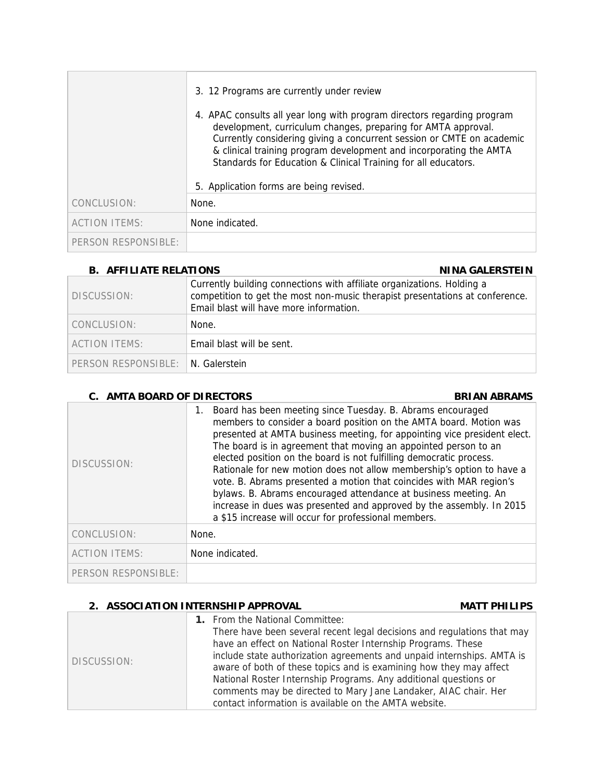|                      | 3. 12 Programs are currently under review                                                                                                                                                                                                                                                                                                                 |  |
|----------------------|-----------------------------------------------------------------------------------------------------------------------------------------------------------------------------------------------------------------------------------------------------------------------------------------------------------------------------------------------------------|--|
|                      | 4. APAC consults all year long with program directors regarding program<br>development, curriculum changes, preparing for AMTA approval.<br>Currently considering giving a concurrent session or CMTE on academic<br>& clinical training program development and incorporating the AMTA<br>Standards for Education & Clinical Training for all educators. |  |
|                      | 5. Application forms are being revised.                                                                                                                                                                                                                                                                                                                   |  |
| CONCLUSION:          | None.                                                                                                                                                                                                                                                                                                                                                     |  |
| <b>ACTION ITEMS:</b> | None indicated.                                                                                                                                                                                                                                                                                                                                           |  |
| PERSON RESPONSIBLE:  |                                                                                                                                                                                                                                                                                                                                                           |  |

### **B.** AFFILIATE RELATIONS **NICE ASSESSED ASSESSED A NINA GALERSTEIN**

| DISCUSSION:                        | Currently building connections with affiliate organizations. Holding a<br>competition to get the most non-music therapist presentations at conference.<br>Email blast will have more information. |
|------------------------------------|---------------------------------------------------------------------------------------------------------------------------------------------------------------------------------------------------|
| CONCLUSION:                        | None.                                                                                                                                                                                             |
| ACTION ITEMS:                      | Email blast will be sent.                                                                                                                                                                         |
| PERSON RESPONSIBLE: IN. Galerstein |                                                                                                                                                                                                   |

## **C.** AMTA BOARD OF DIRECTORS BRIAN ABRAMS

| DISCUSSION:          | Board has been meeting since Tuesday. B. Abrams encouraged<br>1.<br>members to consider a board position on the AMTA board. Motion was<br>presented at AMTA business meeting, for appointing vice president elect.<br>The board is in agreement that moving an appointed person to an<br>elected position on the board is not fulfilling democratic process.<br>Rationale for new motion does not allow membership's option to have a<br>vote. B. Abrams presented a motion that coincides with MAR region's<br>bylaws. B. Abrams encouraged attendance at business meeting. An<br>increase in dues was presented and approved by the assembly. In 2015<br>a \$15 increase will occur for professional members. |
|----------------------|-----------------------------------------------------------------------------------------------------------------------------------------------------------------------------------------------------------------------------------------------------------------------------------------------------------------------------------------------------------------------------------------------------------------------------------------------------------------------------------------------------------------------------------------------------------------------------------------------------------------------------------------------------------------------------------------------------------------|
| CONCLUSION:          | None.                                                                                                                                                                                                                                                                                                                                                                                                                                                                                                                                                                                                                                                                                                           |
| <b>ACTION ITEMS:</b> | None indicated.                                                                                                                                                                                                                                                                                                                                                                                                                                                                                                                                                                                                                                                                                                 |
| PERSON RESPONSIBLE:  |                                                                                                                                                                                                                                                                                                                                                                                                                                                                                                                                                                                                                                                                                                                 |

## **2. ASSOCIATION INTERNSHIP APPROVAL MATT PHILIPS**

| DISCUSSION: | <b>1.</b> From the National Committee:<br>There have been several recent legal decisions and regulations that may<br>have an effect on National Roster Internship Programs. These<br>include state authorization agreements and unpaid internships. AMTA is<br>aware of both of these topics and is examining how they may affect<br>National Roster Internship Programs. Any additional questions or<br>comments may be directed to Mary Jane Landaker, AIAC chair. Her<br>contact information is available on the AMTA website. |
|-------------|-----------------------------------------------------------------------------------------------------------------------------------------------------------------------------------------------------------------------------------------------------------------------------------------------------------------------------------------------------------------------------------------------------------------------------------------------------------------------------------------------------------------------------------|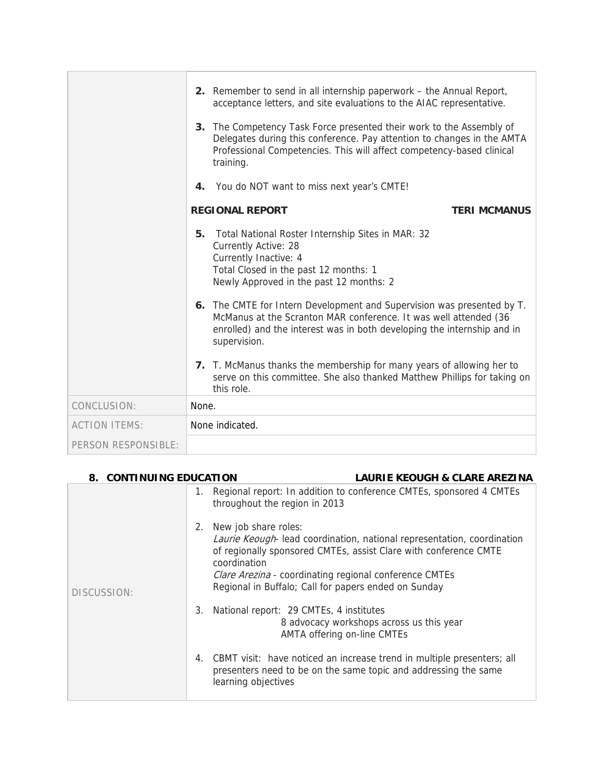|                      | 2. Remember to send in all internship paperwork – the Annual Report,<br>acceptance letters, and site evaluations to the AIAC representative.<br>3. The Competency Task Force presented their work to the Assembly of                  |
|----------------------|---------------------------------------------------------------------------------------------------------------------------------------------------------------------------------------------------------------------------------------|
|                      | Delegates during this conference. Pay attention to changes in the AMTA<br>Professional Competencies. This will affect competency-based clinical<br>training.                                                                          |
|                      | 4. You do NOT want to miss next year's CMTE!                                                                                                                                                                                          |
|                      | <b>REGIONAL REPORT</b><br><b>TERI MCMANUS</b>                                                                                                                                                                                         |
|                      | Total National Roster Internship Sites in MAR: 32<br>5.<br><b>Currently Active: 28</b><br>Currently Inactive: 4<br>Total Closed in the past 12 months: 1<br>Newly Approved in the past 12 months: 2                                   |
|                      | 6. The CMTE for Intern Development and Supervision was presented by T.<br>McManus at the Scranton MAR conference. It was well attended (36<br>enrolled) and the interest was in both developing the internship and in<br>supervision. |
|                      | 7. T. McManus thanks the membership for many years of allowing her to<br>serve on this committee. She also thanked Matthew Phillips for taking on<br>this role.                                                                       |
| CONCLUSION:          | None.                                                                                                                                                                                                                                 |
| <b>ACTION ITEMS:</b> | None indicated.                                                                                                                                                                                                                       |
| PERSON RESPONSIBLE:  |                                                                                                                                                                                                                                       |

| 8. CONTINUING EDUCATION |                                               | <b>LAURIE KEOUGH &amp; CLARE AREZINA</b>                                                                                                                                                                                                                     |
|-------------------------|-----------------------------------------------|--------------------------------------------------------------------------------------------------------------------------------------------------------------------------------------------------------------------------------------------------------------|
|                         | 1.<br>throughout the region in 2013           | Regional report: In addition to conference CMTEs, sponsored 4 CMTEs                                                                                                                                                                                          |
| DISCUSSION:             | New job share roles:<br>2.<br>coordination    | Laurie Keough-lead coordination, national representation, coordination<br>of regionally sponsored CMTEs, assist Clare with conference CMTE<br>Clare Arezina - coordinating regional conference CMTEs<br>Regional in Buffalo; Call for papers ended on Sunday |
|                         | National report: 29 CMTEs, 4 institutes<br>3. | 8 advocacy workshops across us this year<br>AMTA offering on-line CMTEs                                                                                                                                                                                      |
|                         | learning objectives                           | 4. CBMT visit: have noticed an increase trend in multiple presenters; all<br>presenters need to be on the same topic and addressing the same                                                                                                                 |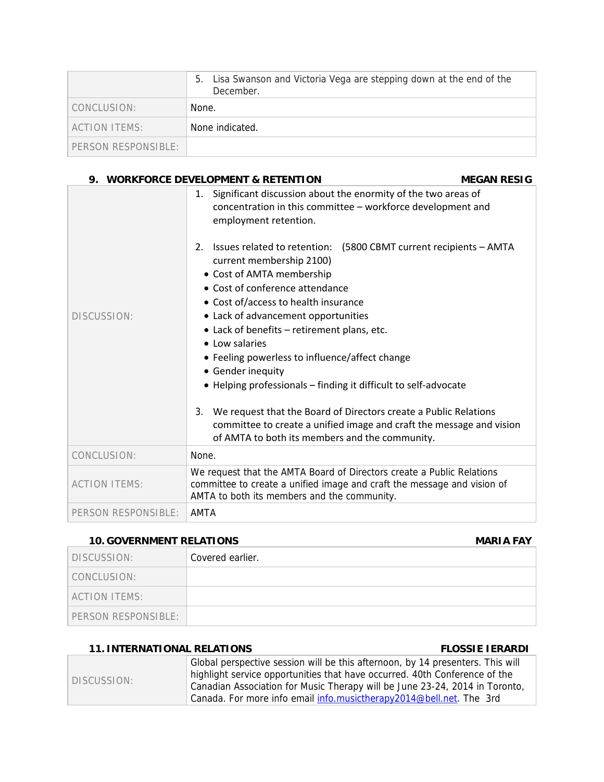|                     | Lisa Swanson and Victoria Vega are stepping down at the end of the<br>5.<br>December. |
|---------------------|---------------------------------------------------------------------------------------|
| CONCLUSION:         | None.                                                                                 |
| ACTION ITEMS:       | None indicated.                                                                       |
| PERSON RESPONSIBLE: |                                                                                       |

| 9.                   | <b>WORKFORCE DEVELOPMENT &amp; RETENTION</b>                                                                                                                                                                                                                                                                                                                                                                                                                                                                                                                                                                                                                                                                                                                                            | <b>MEGAN RESIG</b> |
|----------------------|-----------------------------------------------------------------------------------------------------------------------------------------------------------------------------------------------------------------------------------------------------------------------------------------------------------------------------------------------------------------------------------------------------------------------------------------------------------------------------------------------------------------------------------------------------------------------------------------------------------------------------------------------------------------------------------------------------------------------------------------------------------------------------------------|--------------------|
| DISCUSSION:          | 1. Significant discussion about the enormity of the two areas of<br>concentration in this committee - workforce development and<br>employment retention.<br>Issues related to retention: (5800 CBMT current recipients - AMTA<br>2 <sub>1</sub><br>current membership 2100)<br>• Cost of AMTA membership<br>• Cost of conference attendance<br>• Cost of/access to health insurance<br>• Lack of advancement opportunities<br>• Lack of benefits – retirement plans, etc.<br>• Low salaries<br>• Feeling powerless to influence/affect change<br>• Gender inequity<br>• Helping professionals - finding it difficult to self-advocate<br>We request that the Board of Directors create a Public Relations<br>3.<br>committee to create a unified image and craft the message and vision |                    |
|                      | of AMTA to both its members and the community.                                                                                                                                                                                                                                                                                                                                                                                                                                                                                                                                                                                                                                                                                                                                          |                    |
| CONCLUSION:          | None.                                                                                                                                                                                                                                                                                                                                                                                                                                                                                                                                                                                                                                                                                                                                                                                   |                    |
| <b>ACTION ITEMS:</b> | We request that the AMTA Board of Directors create a Public Relations<br>committee to create a unified image and craft the message and vision of<br>AMTA to both its members and the community.                                                                                                                                                                                                                                                                                                                                                                                                                                                                                                                                                                                         |                    |
| PERSON RESPONSIBLE:  | <b>AMTA</b>                                                                                                                                                                                                                                                                                                                                                                                                                                                                                                                                                                                                                                                                                                                                                                             |                    |

### **10. GOVERNMENT RELATIONS MARIA FAY**

| DISCUSSION:         | Covered earlier. |
|---------------------|------------------|
| CONCLUSION:         |                  |
| ACTION ITEMS:       |                  |
| PERSON RESPONSIBLE: |                  |

## **11. INTERNATIONAL RELATIONS FLOSSIE IERARDI**

| DISCUSSION: | Global perspective session will be this afternoon, by 14 presenters. This will |
|-------------|--------------------------------------------------------------------------------|
|             | highlight service opportunities that have occurred. 40th Conference of the     |
|             | Canadian Association for Music Therapy will be June 23-24, 2014 in Toronto,    |
|             | Canada. For more info email info.musictherapy2014@bell.net. The 3rd            |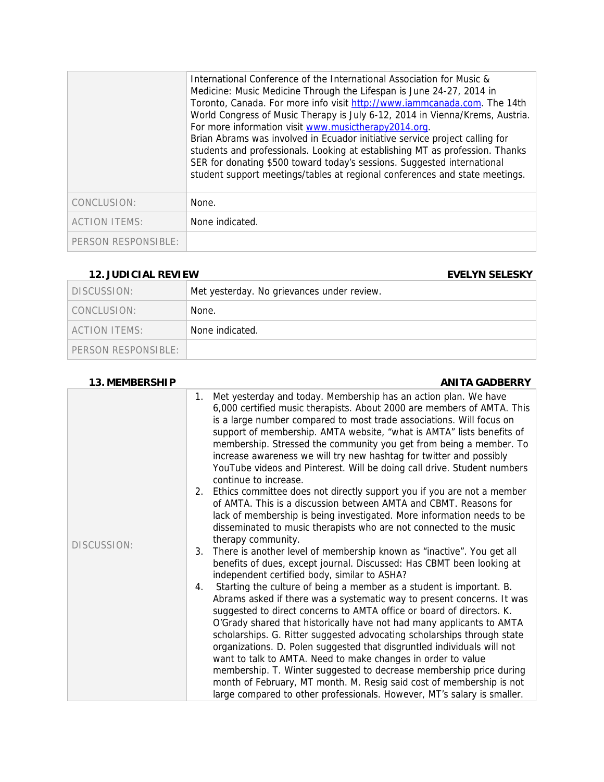|                      | International Conference of the International Association for Music &<br>Medicine: Music Medicine Through the Lifespan is June 24-27, 2014 in<br>Toronto, Canada. For more info visit http://www.iammcanada.com. The 14th<br>World Congress of Music Therapy is July 6-12, 2014 in Vienna/Krems, Austria.<br>For more information visit www.musictherapy2014.org.<br>Brian Abrams was involved in Ecuador initiative service project calling for<br>students and professionals. Looking at establishing MT as profession. Thanks<br>SER for donating \$500 toward today's sessions. Suggested international<br>student support meetings/tables at regional conferences and state meetings. |
|----------------------|--------------------------------------------------------------------------------------------------------------------------------------------------------------------------------------------------------------------------------------------------------------------------------------------------------------------------------------------------------------------------------------------------------------------------------------------------------------------------------------------------------------------------------------------------------------------------------------------------------------------------------------------------------------------------------------------|
| CONCLUSION:          | None.                                                                                                                                                                                                                                                                                                                                                                                                                                                                                                                                                                                                                                                                                      |
| <b>ACTION ITEMS:</b> | None indicated.                                                                                                                                                                                                                                                                                                                                                                                                                                                                                                                                                                                                                                                                            |
| PERSON RESPONSIBLE:  |                                                                                                                                                                                                                                                                                                                                                                                                                                                                                                                                                                                                                                                                                            |

### **12. JUDICIAL REVIEW EVELYN SELESKY**

| DISCUSSION:         | Met yesterday. No grievances under review. |
|---------------------|--------------------------------------------|
| CONCLUSION:         | None.                                      |
| ACTION ITEMS:       | None indicated.                            |
| PERSON RESPONSIBLE: |                                            |

### **13. MEMBERSHIP ANITA GADBERRY**

|             | 1. Met yesterday and today. Membership has an action plan. We have<br>6,000 certified music therapists. About 2000 are members of AMTA. This<br>is a large number compared to most trade associations. Will focus on<br>support of membership. AMTA website, "what is AMTA" lists benefits of<br>membership. Stressed the community you get from being a member. To<br>increase awareness we will try new hashtag for twitter and possibly<br>YouTube videos and Pinterest. Will be doing call drive. Student numbers<br>continue to increase.                                                                                                                                                                                                         |
|-------------|--------------------------------------------------------------------------------------------------------------------------------------------------------------------------------------------------------------------------------------------------------------------------------------------------------------------------------------------------------------------------------------------------------------------------------------------------------------------------------------------------------------------------------------------------------------------------------------------------------------------------------------------------------------------------------------------------------------------------------------------------------|
|             | 2. Ethics committee does not directly support you if you are not a member<br>of AMTA. This is a discussion between AMTA and CBMT. Reasons for<br>lack of membership is being investigated. More information needs to be<br>disseminated to music therapists who are not connected to the music<br>therapy community.                                                                                                                                                                                                                                                                                                                                                                                                                                   |
| DISCUSSION: | 3. There is another level of membership known as "inactive". You get all<br>benefits of dues, except journal. Discussed: Has CBMT been looking at<br>independent certified body, similar to ASHA?                                                                                                                                                                                                                                                                                                                                                                                                                                                                                                                                                      |
|             | Starting the culture of being a member as a student is important. B.<br>4.<br>Abrams asked if there was a systematic way to present concerns. It was<br>suggested to direct concerns to AMTA office or board of directors. K.<br>O'Grady shared that historically have not had many applicants to AMTA<br>scholarships. G. Ritter suggested advocating scholarships through state<br>organizations. D. Polen suggested that disgruntled individuals will not<br>want to talk to AMTA. Need to make changes in order to value<br>membership. T. Winter suggested to decrease membership price during<br>month of February, MT month. M. Resig said cost of membership is not<br>large compared to other professionals. However, MT's salary is smaller. |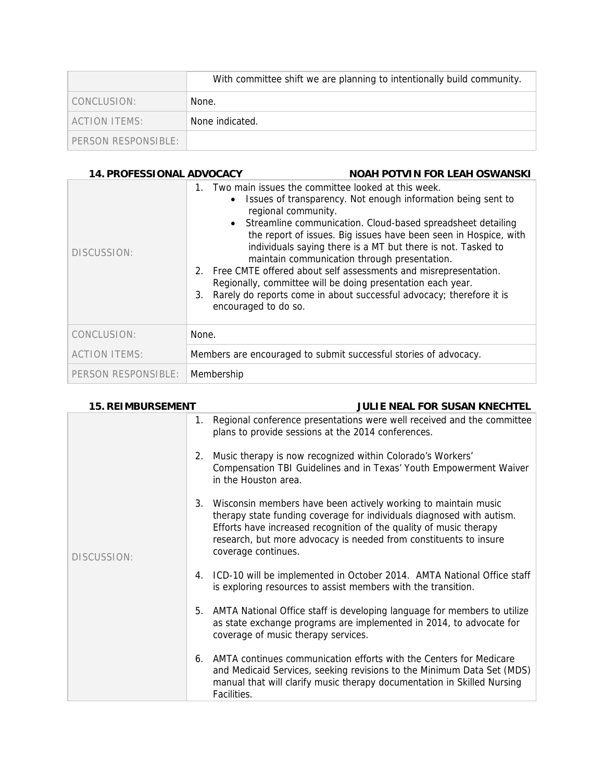|                     | With committee shift we are planning to intentionally build community. |
|---------------------|------------------------------------------------------------------------|
| CONCLUSION:         | None.                                                                  |
| ACTION ITEMS:       | None indicated.                                                        |
| PERSON RESPONSIBLE: |                                                                        |

### 14. PROFESSIONAL ADVOCACY NOAH POTVIN FOR LEAH OSWANSKI

| DISCUSSION:          | 1. Two main issues the committee looked at this week.<br>Issues of transparency. Not enough information being sent to<br>٠<br>regional community.<br>• Streamline communication. Cloud-based spreadsheet detailing<br>the report of issues. Big issues have been seen in Hospice, with<br>individuals saying there is a MT but there is not. Tasked to<br>maintain communication through presentation.<br>2. Free CMTE offered about self assessments and misrepresentation.<br>Regionally, committee will be doing presentation each year.<br>Rarely do reports come in about successful advocacy; therefore it is<br>3.<br>encouraged to do so. |
|----------------------|---------------------------------------------------------------------------------------------------------------------------------------------------------------------------------------------------------------------------------------------------------------------------------------------------------------------------------------------------------------------------------------------------------------------------------------------------------------------------------------------------------------------------------------------------------------------------------------------------------------------------------------------------|
| CONCLUSION:          | None.                                                                                                                                                                                                                                                                                                                                                                                                                                                                                                                                                                                                                                             |
| <b>ACTION ITEMS:</b> | Members are encouraged to submit successful stories of advocacy.                                                                                                                                                                                                                                                                                                                                                                                                                                                                                                                                                                                  |
| PERSON RESPONSIBLE:  | Membership                                                                                                                                                                                                                                                                                                                                                                                                                                                                                                                                                                                                                                        |

| <b>15. REIMBURSEMENT</b> | <b>JULIE NEAL FOR SUSAN KNECHTEL</b>                                                                                                                                                                                                                                                                         |
|--------------------------|--------------------------------------------------------------------------------------------------------------------------------------------------------------------------------------------------------------------------------------------------------------------------------------------------------------|
| DISCUSSION:              | 1. Regional conference presentations were well received and the committee<br>plans to provide sessions at the 2014 conferences.                                                                                                                                                                              |
|                          | 2. Music therapy is now recognized within Colorado's Workers'<br>Compensation TBI Guidelines and in Texas' Youth Empowerment Waiver<br>in the Houston area.                                                                                                                                                  |
|                          | 3. Wisconsin members have been actively working to maintain music<br>therapy state funding coverage for individuals diagnosed with autism.<br>Efforts have increased recognition of the quality of music therapy<br>research, but more advocacy is needed from constituents to insure<br>coverage continues. |
|                          | 4. ICD-10 will be implemented in October 2014. AMTA National Office staff<br>is exploring resources to assist members with the transition.                                                                                                                                                                   |
|                          | 5. AMTA National Office staff is developing language for members to utilize<br>as state exchange programs are implemented in 2014, to advocate for<br>coverage of music therapy services.                                                                                                                    |
|                          | 6. AMTA continues communication efforts with the Centers for Medicare<br>and Medicaid Services, seeking revisions to the Minimum Data Set (MDS)<br>manual that will clarify music therapy documentation in Skilled Nursing<br>Facilities.                                                                    |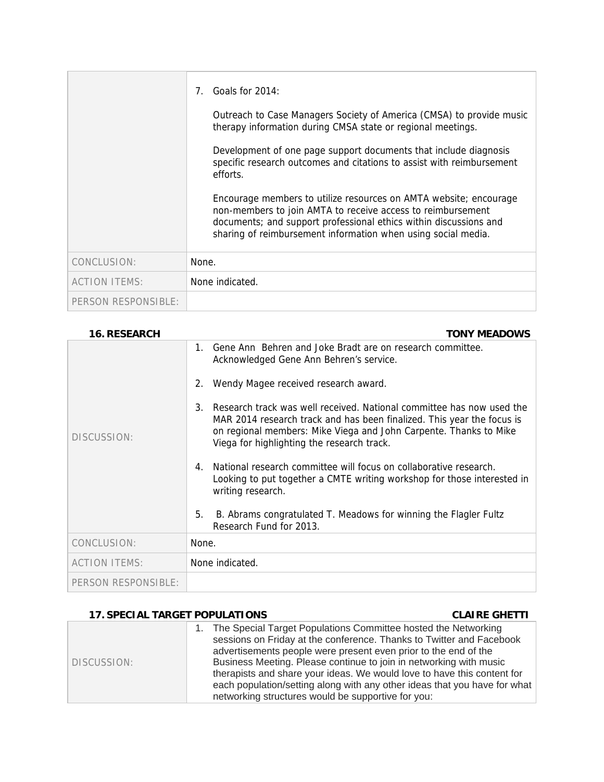|                      | Goals for 2014:<br>Outreach to Case Managers Society of America (CMSA) to provide music<br>therapy information during CMSA state or regional meetings.<br>Development of one page support documents that include diagnosis<br>specific research outcomes and citations to assist with reimbursement<br>efforts.<br>Encourage members to utilize resources on AMTA website; encourage<br>non-members to join AMTA to receive access to reimbursement |
|----------------------|-----------------------------------------------------------------------------------------------------------------------------------------------------------------------------------------------------------------------------------------------------------------------------------------------------------------------------------------------------------------------------------------------------------------------------------------------------|
|                      | documents; and support professional ethics within discussions and<br>sharing of reimbursement information when using social media.                                                                                                                                                                                                                                                                                                                  |
| CONCLUSION:          | None.                                                                                                                                                                                                                                                                                                                                                                                                                                               |
| <b>ACTION ITEMS:</b> | None indicated.                                                                                                                                                                                                                                                                                                                                                                                                                                     |
| PERSON RESPONSIBLE:  |                                                                                                                                                                                                                                                                                                                                                                                                                                                     |

| <b>16. RESEARCH</b>  | <b>TONY MEADOWS</b>                                                                                                                                                                                                                                                           |
|----------------------|-------------------------------------------------------------------------------------------------------------------------------------------------------------------------------------------------------------------------------------------------------------------------------|
|                      | Gene Ann Behren and Joke Bradt are on research committee.<br>$\mathbf{1}$<br>Acknowledged Gene Ann Behren's service.                                                                                                                                                          |
|                      | Wendy Magee received research award.<br>2.                                                                                                                                                                                                                                    |
| DISCUSSION:          | Research track was well received. National committee has now used the<br>$3_{-}$<br>MAR 2014 research track and has been finalized. This year the focus is<br>on regional members: Mike Viega and John Carpente. Thanks to Mike<br>Viega for highlighting the research track. |
|                      | National research committee will focus on collaborative research.<br>4<br>Looking to put together a CMTE writing workshop for those interested in<br>writing research.                                                                                                        |
|                      | B. Abrams congratulated T. Meadows for winning the Flagler Fultz<br>5.<br>Research Fund for 2013.                                                                                                                                                                             |
| CONCLUSION:          | None.                                                                                                                                                                                                                                                                         |
| <b>ACTION ITEMS:</b> | None indicated.                                                                                                                                                                                                                                                               |
| PERSON RESPONSIBLE:  |                                                                                                                                                                                                                                                                               |

## **17. SPECIAL TARGET POPULATIONS CLAIRE GHETTI**

 $\overline{\phantom{a}}$ 

| DISCUSSION: | The Special Target Populations Committee hosted the Networking<br>sessions on Friday at the conference. Thanks to Twitter and Facebook<br>advertisements people were present even prior to the end of the<br>Business Meeting. Please continue to join in networking with music<br>therapists and share your ideas. We would love to have this content for |
|-------------|------------------------------------------------------------------------------------------------------------------------------------------------------------------------------------------------------------------------------------------------------------------------------------------------------------------------------------------------------------|
|             | each population/setting along with any other ideas that you have for what<br>networking structures would be supportive for you:                                                                                                                                                                                                                            |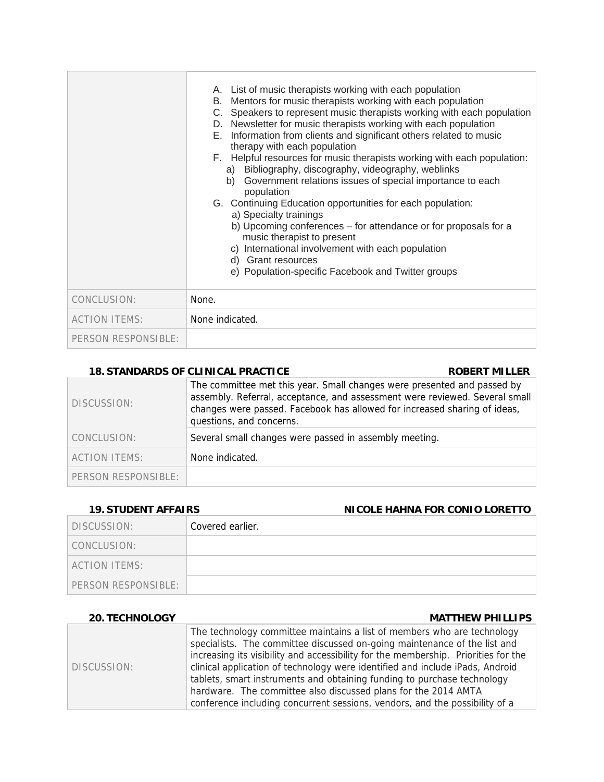|                      | A. List of music therapists working with each population<br>B. Mentors for music therapists working with each population<br>C. Speakers to represent music therapists working with each population<br>D. Newsletter for music therapists working with each population<br>E. Information from clients and significant others related to music<br>therapy with each population<br>F. Helpful resources for music therapists working with each population:<br>a) Bibliography, discography, videography, weblinks<br>b) Government relations issues of special importance to each<br>population<br>G. Continuing Education opportunities for each population:<br>a) Specialty trainings<br>b) Upcoming conferences - for attendance or for proposals for a<br>music therapist to present<br>c) International involvement with each population<br>d) Grant resources<br>e) Population-specific Facebook and Twitter groups |
|----------------------|------------------------------------------------------------------------------------------------------------------------------------------------------------------------------------------------------------------------------------------------------------------------------------------------------------------------------------------------------------------------------------------------------------------------------------------------------------------------------------------------------------------------------------------------------------------------------------------------------------------------------------------------------------------------------------------------------------------------------------------------------------------------------------------------------------------------------------------------------------------------------------------------------------------------|
| CONCLUSION:          | None.                                                                                                                                                                                                                                                                                                                                                                                                                                                                                                                                                                                                                                                                                                                                                                                                                                                                                                                  |
| <b>ACTION ITEMS:</b> | None indicated.                                                                                                                                                                                                                                                                                                                                                                                                                                                                                                                                                                                                                                                                                                                                                                                                                                                                                                        |
| PERSON RESPONSIBLE:  |                                                                                                                                                                                                                                                                                                                                                                                                                                                                                                                                                                                                                                                                                                                                                                                                                                                                                                                        |

### 18. STANDARDS OF CLINICAL PRACTICE **ROBERT MILLER**

| DISCUSSION:          | The committee met this year. Small changes were presented and passed by<br>assembly. Referral, acceptance, and assessment were reviewed. Several small<br>changes were passed. Facebook has allowed for increased sharing of ideas,<br>questions, and concerns. |
|----------------------|-----------------------------------------------------------------------------------------------------------------------------------------------------------------------------------------------------------------------------------------------------------------|
| CONCLUSION:          | Several small changes were passed in assembly meeting.                                                                                                                                                                                                          |
| <b>ACTION ITEMS:</b> | None indicated.                                                                                                                                                                                                                                                 |
| PERSON RESPONSIBLE:  |                                                                                                                                                                                                                                                                 |

## **19. STUDENT AFFAIRS NICOLE HAHNA FOR CONIO LORETTO**

| DISCUSSION:         | Covered earlier. |
|---------------------|------------------|
| CONCLUSION:         |                  |
| ACTION ITEMS:       |                  |
| PERSON RESPONSIBLE: |                  |

### **20. TECHNOLOGY MATTHEW PHILLIPS**

| DISCUSSION: | The technology committee maintains a list of members who are technology            |
|-------------|------------------------------------------------------------------------------------|
|             | specialists. The committee discussed on-going maintenance of the list and          |
|             | increasing its visibility and accessibility for the membership. Priorities for the |
|             | clinical application of technology were identified and include iPads, Android      |
|             | tablets, smart instruments and obtaining funding to purchase technology            |
|             | hardware. The committee also discussed plans for the 2014 AMTA                     |
|             | conference including concurrent sessions, vendors, and the possibility of a        |